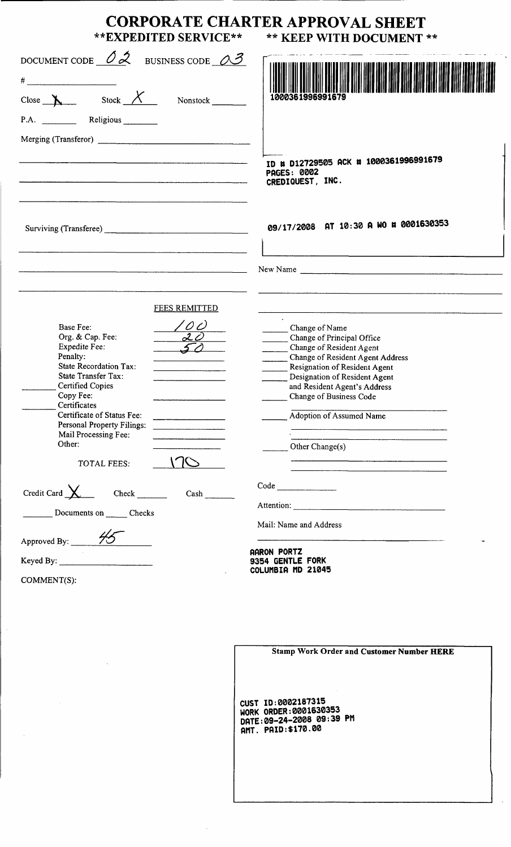| **EXPEDITED SERVICE**                                                                                                                                                                                                                                                                                                                                         | <b>CORPORATE CHARTER APPROVAL SHEET</b><br>** KEEP WITH DOCUMENT **                                                                                                                                                                                                                      |
|---------------------------------------------------------------------------------------------------------------------------------------------------------------------------------------------------------------------------------------------------------------------------------------------------------------------------------------------------------------|------------------------------------------------------------------------------------------------------------------------------------------------------------------------------------------------------------------------------------------------------------------------------------------|
| DOCUMENT CODE $\mathcal{O}2$ BUSINESS CODE $\mathcal{O}3$<br>$\#$<br>Close $X$ Stock $X$ Nonstock $\overline{\phantom{1}}$<br>P.A. Religious                                                                                                                                                                                                                  |                                                                                                                                                                                                                                                                                          |
|                                                                                                                                                                                                                                                                                                                                                               | ID # D12729505 ACK # 1000361996991679<br><b>PAGES: 0002</b><br>CREDIQUEST, INC.                                                                                                                                                                                                          |
|                                                                                                                                                                                                                                                                                                                                                               | 09/17/2008 AT 10:30 A WO # 0001630353                                                                                                                                                                                                                                                    |
|                                                                                                                                                                                                                                                                                                                                                               | New Name                                                                                                                                                                                                                                                                                 |
| <b>FEES REMITTED</b><br><b>Base Fee:</b><br>$\overline{\phantom{a}}$ 20<br>Org. & Cap. Fee:<br>Expedite Fee:<br>Penalty:<br>State Recordation Tax:<br>State Transfer Tax:<br><b>Certified Copies</b><br>Copy Fee:<br>Certificates<br>Certificate of Status Fee:<br>Personal Property Filings:<br>Mail Processing Fee:<br>Other:<br><b>TOTAL FEES:</b><br>Cash | Change of Name<br>Change of Principal Office<br>Change of Resident Agent<br>Change of Resident Agent Address<br>Resignation of Resident Agent<br>Designation of Resident Agent<br>and Resident Agent's Address<br>Change of Business Code<br>Adoption of Assumed Name<br>Other Change(s) |
| Documents on _______ Checks                                                                                                                                                                                                                                                                                                                                   | Attention:<br>Mail: Name and Address                                                                                                                                                                                                                                                     |
| Approved By: $\frac{HZ}{H}$                                                                                                                                                                                                                                                                                                                                   | AARON PORTZ<br>9354 GENTLE FORK                                                                                                                                                                                                                                                          |
| COMMENT(S):                                                                                                                                                                                                                                                                                                                                                   | COLUMBIA MD 21045                                                                                                                                                                                                                                                                        |

|  |  |  | <b>Stamp Work Order and Customer Number HERE</b> |  |
|--|--|--|--------------------------------------------------|--|
|  |  |  |                                                  |  |
|  |  |  |                                                  |  |
|  |  |  |                                                  |  |

GUST ID: 8882187315 WORK ORDER:0001630353 DATE:89-24-2888 89:39 PM AMT. PAID: \$178. 88

 $\hat{\mathcal{A}}$ 

 $\frac{1}{\sqrt{2}}$ 

 $\mathcal{A}^{\mathcal{A}}$ 

 $\sim 10^7$ 

 $\label{eq:2.1} \frac{1}{\sqrt{2}}\int_{\mathbb{R}^3}\frac{1}{\sqrt{2}}\left(\frac{1}{\sqrt{2}}\right)^2\frac{1}{\sqrt{2}}\left(\frac{1}{\sqrt{2}}\right)^2\frac{1}{\sqrt{2}}\left(\frac{1}{\sqrt{2}}\right)^2.$